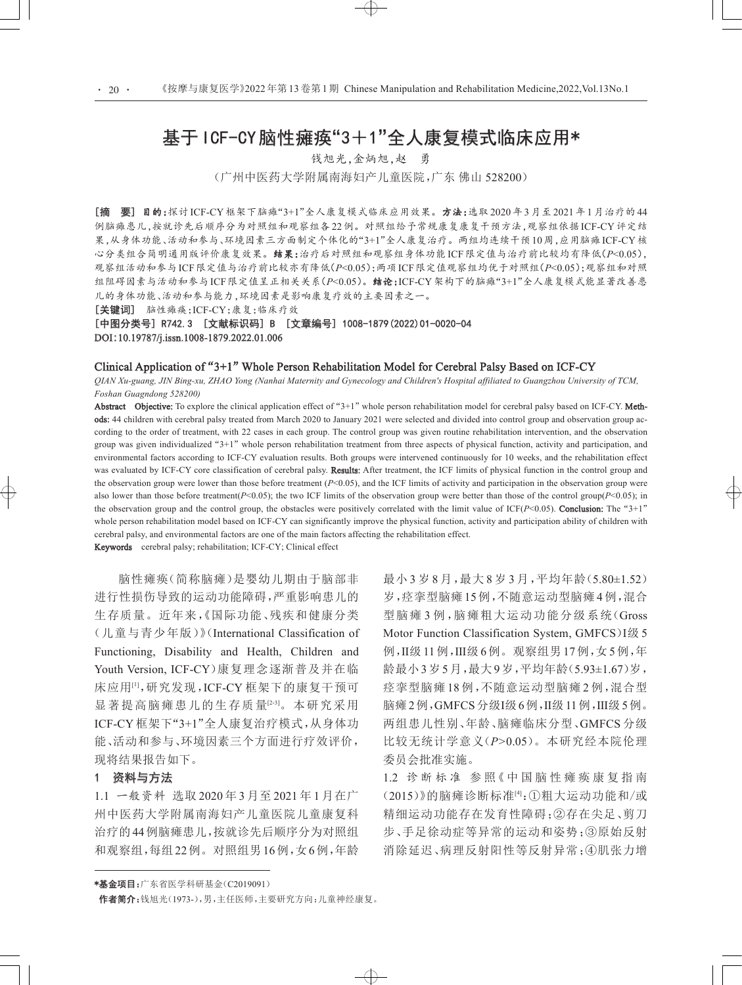# 基于ICF-CY脑性瘫痪"3+1"全人康复模式临床应用\*

钱旭光,金炳旭,赵 勇 (广州中医药大学附属南海妇产儿童医院,广东 佛山 528200)

[摘 要] 目的:探讨 ICF-CY框架下脑瘫"3+1"全人康复模式临床应用效果。方法:选取 2020年3月至 2021年1月治疗的44 例脑瘫患儿,按就诊先后顺序分为对照组和观察组各22例。对照组给予常规康复康复干预方法,观察组依据ICF-CY评定结 果,从身体功能、活动和参与、环境因素三方面制定个体化的"3+1"全人康复治疗。两组均连续干预10周,应用脑瘫ICF-CY核 心分类组合简明通用版评价康复效果。结果:治疗后对照组和观察组身体功能ICF限定值与治疗前比较均有降低(*P*<0.05), 观察组活动和参与ICF[限定值与治疗前比较亦有降低\(](#page-1-0)*P*<0.05);两项ICF限定值观察组均优于对照组(*P*<0.05);观察组和对照 组阻碍因素与活动和参与ICF限定值呈正相关关系(*P*<0.05)。结论:ICF-CY架构下的脑瘫"3+1"全人康复模式能显著改善患 儿的身体功能、活动和参与能力,环境因素是影响康复疗效的主要因素之一。

[关键词] 脑性瘫痪;ICF-CY;康复;临床疗效

[中图分类号] R742.3 [文献标识码] B [文章编号] 1008-1879(2022)01-0020-04 DOI:10.19787/j.issn.1008-1879.2022.01.006

# Clinical Application of"3+1"Whole Person Rehabilitation Model for Cerebral Palsy Based on ICF-CY

*QIAN Xu-guang, JIN Bing-xu, ZHAO Yong (Nanhai Maternity and Gynecology and Children's Hospital affiliated to Guangzhou University of TCM, Foshan Guagndong 528200)*

Abstract Objective: To explore the clinical application effect of "3+1" whole person rehabilitation model for cerebral palsy based on ICF-CY. Methods: 44 children with cerebral palsy treated from March 2020 to January 2021 were selected and divided into control group and observation group ac‐ cording to the order of treatment, with 22 cases in each group. The control group was given routine rehabilitation intervention, and the observation group was given individualized "3+1" whole person rehabilitation treatment from three aspects of physical function, activity and participation, and environmental factors according to ICF-CY evaluation results. Both groups were intervened continuously for 10 weeks, and the rehabilitation effect was evaluated by ICF-CY core classification of cerebral palsy. Results: After treatment, the ICF limits of physical function in the control group and the observation group were lower than those before treatment (*P*<0.05), and the ICF limits of activity and participation in the observation group were also lower than those before treatment( $P<0.05$ ); the two ICF limits of the observation group were better than those of the control group( $P<0.05$ ); in the observation group and the control group, the obstacles were positively correlated with the limit value of  $ICF(P<0.05)$ . **Conclusion:** The "3+1" whole person rehabilitation model based on ICF-CY can significantly improve the physical function, activity and participation ability of children with cerebral palsy, and environmental factors are one of the main factors affecting the rehabilitation effect.

 $\rightarrow$ 

Keywords cerebral palsy; rehabilitation; ICF-CY; Clinical effect

脑性瘫痪(简称脑瘫)是婴幼儿期由于脑部非 进行性损伤导致的运动功能障碍,严重影响患儿的 生存质量。近年来,《国际功能、残疾和健康分类 (儿童与青少年版)》(International Classification of Functioning, Disability and Health, Children and Youth Version, ICF-CY)康复理念逐渐普及并在临 床应用[1],研究发现,ICF-CY 框架下的康复干预可 显著提高脑瘫患儿的生存质量[23]。本研究采用 ICF-CY 框架下"3+1"全人康复治疗模式,从身体功 能、活动和参与、环境因素三个方面进行疗效评价, 现将结果报告如下。

# 1 资料与方法

1.1 一般资料 选取 2020 年 3 月至 2021 年 1 月在广 州中医药大学附属南海妇产儿童医院儿童康复科 治疗的44例脑瘫患儿,按就诊先后顺序分为对照组 和观察组,每组22例。对照组男16例,女6例,年龄 最小 3 岁 8 月,最大 8 岁 3 月,平均年龄(5.80±1.52) 岁,痉挛型脑瘫 15例,不随意运动型脑瘫 4例,混合 型脑瘫3例,脑瘫粗大运动功能分级系统(Gross Motor Function Classification System, GMFCS) I级 5 例,Ⅱ级11例,Ⅲ级6例。观察组男17例,女5例,年 龄最小3岁5月,最大9岁,平均年龄(5.93±1.67)岁, 痉挛型脑瘫 18 例,不随意运动型脑瘫 2 例,混合型 脑瘫2例,GMFCS分级Ⅰ级6例,Ⅱ级11例,Ⅲ级5例。 两组患儿性别、年龄、脑瘫临床分型、GMFCS 分级 比较无统计学意义(*P>*0.05)。本研究经本院伦理 委员会批准实施。

1.2 诊断标准 参照《中国脑性瘫痪康复指南 (2015)》的脑瘫诊断标准[4]:①粗大运动功能和/或 精细运动功能存在发育性障碍;②存在尖足、剪刀 步、手足徐动症等异常的运动和姿势;③原始反射 消除延迟、病理反射阳性等反射异常;④肌张力增

\*基金项目:广东省医学科研基金(C2019091)

作者简介:钱旭光(1973-),男,主任医师,主要研究方向:儿童神经康复。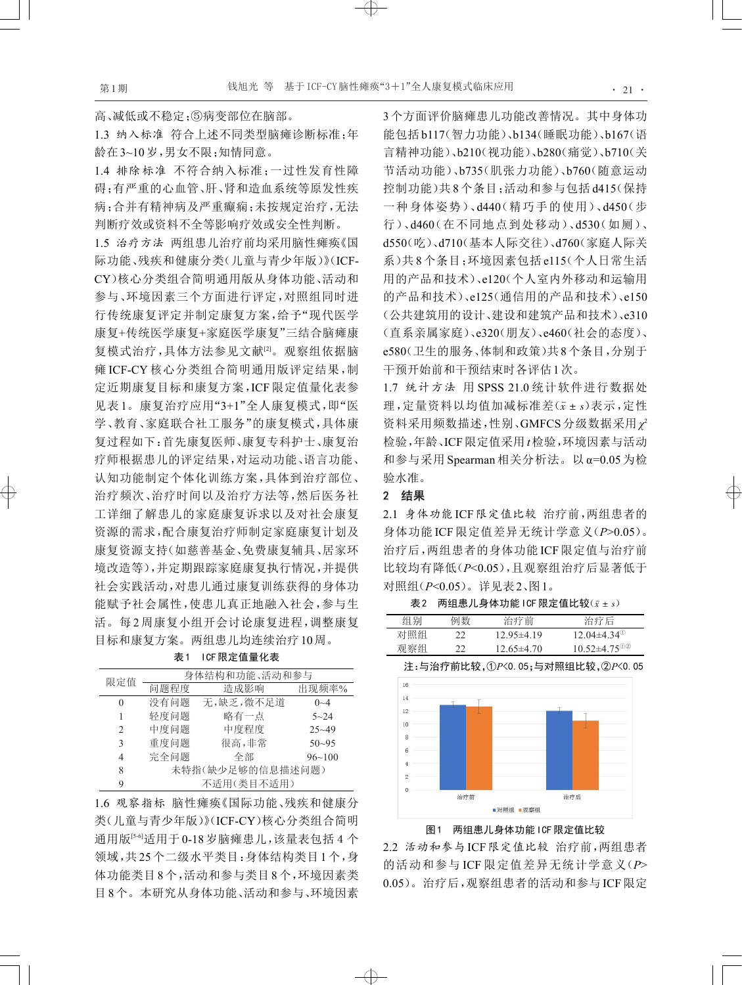# 高、减低或不稳定;⑤病变部位在脑部。

1.3 纳入标准 符合上述不同类型脑瘫诊断标准;年 龄在3~10岁,男女不限;知情同意。

<span id="page-1-0"></span>1.4 排除标准 不符合纳入标准;一过性发育性障 碍;有严重的心血管、肝、肾和造血系统等原发性疾 病;合并有精神病及严重癫痫;未按规定治疗,无法 判断疗效或资料不全等影响疗效或安全性判断。

1.5 治疗方法 两组患儿治疗前均采用脑性瘫痪《国 际功能、残疾和健康分类(儿童与青少年版)》(ICF-CY)核心分类组合简明通用版从身体功能、活动和 参与、环境因素三个方面进行评定,对照组同时进 行传统康复评定并制定康复方案,给予"现代医学 康复+传统医学康复+家庭医学康复"三结合脑瘫康 复模式治疗,具体方法参见文献[2]。观察组依据脑 瘫 ICF-CY 核心分类组合简明通用版评定结果,制 定近期康复目标和康复方案,ICF 限定值量化表参 见表 1。康复治疗应用"3+1"全人康复模式,即"医 学、教育、家庭联合社工服务"的康复模式,具体康 复过程如下:首先康复医师、康复专科护士、康复治 疗师根据患儿的评定结果,对运动功能、语言功能、 认知功能制定个体化训练方案,具体到治疗部位、 治疗频次、治疗时间以及治疗方法等,然后医务社 工详细了解患儿的家庭康复诉求以及对社会康复 资源的需求,配合康复治疗师制定家庭康复计划及 康复资源支持(如慈善基金、免费康复辅具、居家环 境改造等),并定期跟踪家庭康复执行情况,并提供 社会实践活动,对患儿通过康复训练获得的身体功 能赋予社会属性,使患儿真正地融入社会,参与生 活。每 2 周康复小组开会讨论康复进程,调整康复 目标和康复方案。两组患儿均连续治疗10周。

表1 ICF限定值量化表

| 限定值           | 身体结构和功能、活动和参与    |           |           |  |
|---------------|------------------|-----------|-----------|--|
|               | 问题程度             | 造成影响      | 出现频率%     |  |
| $\theta$      | 没有问题             | 无,缺乏,微不足道 | $0 - 4$   |  |
| 1             | 轻度问题             | 略有一点      | $5 - 24$  |  |
| $\mathcal{D}$ | 中度问题             | 中度程度      | $25 - 49$ |  |
| 3             | 重度问题             | 很高,非常     | $50 - 95$ |  |
| 4             | 完全问题             | 全部        | 96~100    |  |
| 8             | 未特指(缺少足够的信息描述问题) |           |           |  |
| 9             | 不适用(类目不适用)       |           |           |  |

1.6 观察指标 脑性瘫痪《国际功能、残疾和健康分 类(儿童与青少年版)》(ICF-CY)核心分类组合简明 通用版<sup>[54]</sup>适用于0-18岁脑瘫患儿,该量表包括4个 领域,共 25个二级水平类目:身体结构类目 1个,身 体功能类目 8个,活动和参与类目 8个,环境因素类 目8个。本研究从身体功能、活动和参与、环境因素 3个方面评价脑瘫患儿功能改善情况。其中身体功 能包括b117(智力功能)、b134(睡眠功能)、b167(语 言精神功能)、b210(视功能)、b280(痛觉)、b710(关 节活动功能)、b735(肌张力功能)、b760(随意运动 控制功能)共 8个条目;活动和参与包括 d415(保持 一种身体姿势)、d440(精巧手的使用)、d450(步 行)、d460(在不同地点到处移动)、d530(如厕)、 d550(吃)、d710(基本人际交往)、d760(家庭人际关 系)共 8 个条目;环境因素包括 e115(个人日常生活 用的产品和技术)、e120(个人室内外移动和运输用 的产品和技术)、e125(通信用的产品和技术)、e150 (公共建筑用的设计、建设和建筑产品和技术)、e310 (直系亲属家庭)、e320(朋友)、e460(社会的态度)、 e580(卫生的服务、体制和政策)共8个条目,分别于 干预开始前和干预结束时各评估1次。

1.7 统计方法 用 SPSS 21.0 统计软件进行数据处 理,定量资料以均值加减标准差(*x*ˉ ± *s*)表示,定性 资料采用频数描述,性别、GMFCS 分级数据采用 *χ*<sup>2</sup> 检验,年龄、ICF限定值采用*t*检验,环境因素与活动 和参与采用 Spearman 相关分析法。以 α=0.05 为检 验水准。

# 2 结果

 $\bigoplus$ 

2.1 身体功能 ICF限定值比较 治疗前,两组患者的 身体功能 ICF 限定值差异无统计学意义(*P*>0.05)。 治疗后,两组患者的身体功能 ICF 限定值与治疗前 比较均有降低(*P*<0.05),且观察组治疗后显著低于 对照组(*P*<0.05)。详见表2、图1。

 $z = \frac{1}{2}$  两组患儿身体功能 ICF 限定值比较 $(z + s)$ 

| 组别  | 例数 | 治疗前            | 治疗后                            |
|-----|----|----------------|--------------------------------|
| 对照组 | フフ | $12.95\pm4.19$ | $12.04\pm4.34$ <sup>(1)</sup>  |
| 观察组 |    | $12.65\pm4.70$ | $10.52 \pm 4.75$ <sup>02</sup> |

注:与治疗前比较,①*P*<0.05;与对照组比较,②*P*<0.05



图1 两组患儿身体功能ICF限定值比较

2.2 活动和参与 ICF限定值比较 治疗前,两组患者 的活动和参与 ICF 限定值差异无统计学意义(*P*> 0.05)。治疗后,观察组患者的活动和参与 ICF限定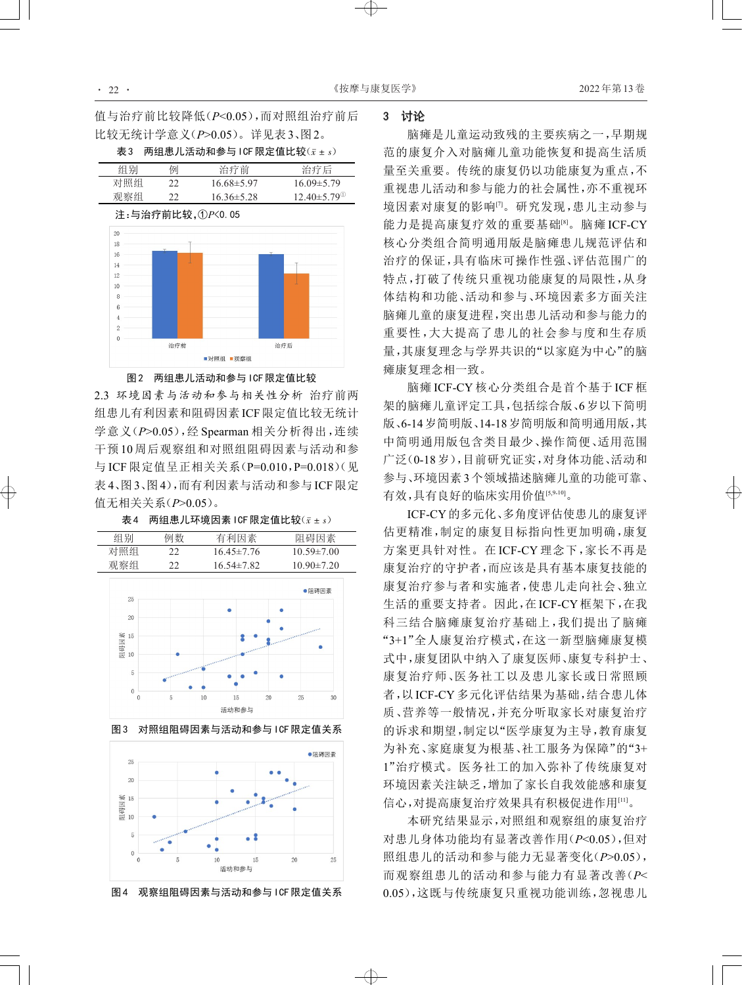值与治疗前比较降低(*P*<0.05),而对照组治疗前后 比较无统计学意义(*P*>0.05)。详见表3、图2。

 $\overline{x}$ 3 两组患儿活动和参与ICF 限定值比较 $(x \pm s)$ 





#### 图2 两组患儿活动和参与ICF限定值比较

2.3 环境因素与活动和参与相关性分析 治疗前两 组患儿有利因素和阻碍因素ICF限定值比较无统计 学意义(*P*>0.05),经 Spearman 相关分析得出,连续 干预 10 周后观察组和对照组阻碍因素与活动和参 与 ICF 限定值呈正相关关系(P=0.010,P=0.018)(见 表 4、图 3、图 4),而有利因素与活动和参与 ICF限定 值无相关关系(*P*>0.05)。



表4 两组患儿环境因素ICF限定值比较(*x*ˉ ± *s*)



图4 观察组阻碍因素与活动和参与ICF限定值关系

 $\oplus$ 

# 3 讨论

脑瘫是儿童运动致残的主要疾病之一,早期规 范的康复介入对脑瘫儿童功能恢复和提高生活质 量至关重要。传统的康复仍以功能康复为重点,不 重视患儿活动和参与能力的社会属性,亦不重视环 境因素对康复的影响[7]。研究发现,患儿主动参与 能力是提高康复疗效的重要基础<sup>[8]</sup>。脑瘫 ICF-CY 核心分类组合简明通用版是脑瘫患儿规范评估和 治疗的保证,具有临床可操作性强、评估范围广的 特点,打破了传统只重视功能康复的局限性,从身 体结构和功能、活动和参与、环境因素多方面关注 脑瘫儿童的康复进程,突出患儿活动和参与能力的 重要性,大大提高了患儿的社会参与度和生存质 量,其康复理念与学界共识的"以家庭为中心"的脑 瘫康复理念相一致。

脑瘫 ICF-CY 核心分类组合是首个基于 ICF 框 架的脑瘫儿童评定工具,包括综合版、6岁以下简明 版、6-14岁简明版、14-18岁简明版和简明通用版,其 中简明通用版包含类目最少、操作简便、适用范围 广泛(0-18岁),目前研究证实,对身体功能、活动和 参与、环境因素3个领域描述脑瘫儿童的功能可靠、 有效,具有良好的临床实用价值[5,9-10] 。

ICF-CY的多元化、多角度评估使患儿的康复评 估更精准,制定的康复目标指向性更加明确,康复 方案更具针对性。在 ICF-CY 理念下,家长不再是 康复治疗的守护者,而应该是具有基本康复技能的 康复治疗参与者和实施者,使患儿走向社会、独立 生活的重要支持者。因此,在 ICF-CY框架下,在我 科三结合脑瘫康复治疗基础上,我们提出了脑瘫 "3+1"全人康复治疗模式,在这一新型脑瘫康复模 式中,康复团队中纳入了康复医师、康复专科护士、 康复治疗师、医务社工以及患儿家长或日常照顾 者,以 ICF-CY多元化评估结果为基础,结合患儿体 质、营养等一般情况,并充分听取家长对康复治疗 的诉求和期望,制定以"医学康复为主导,教育康复 为补充、家庭康复为根基、社工服务为保障"的"3+ 1"治疗模式。医务社工的加入弥补了传统康复对 环境因素关注缺乏,增加了家长自我效能感和康复 信心,对提高康复治疗效果具有积极促进作用[11]。

本研究结果显示,对照组和观察组的康复治疗 对患儿身体功能均有显著改善作用(*P*<0.05),但对 照组患儿的活动和参与能力无显著变化(*P*>0.05), 而观察组患儿的活动和参与能力有显著改善(*P*< 0.05),这既与传统康复只重视功能训练,忽视患儿